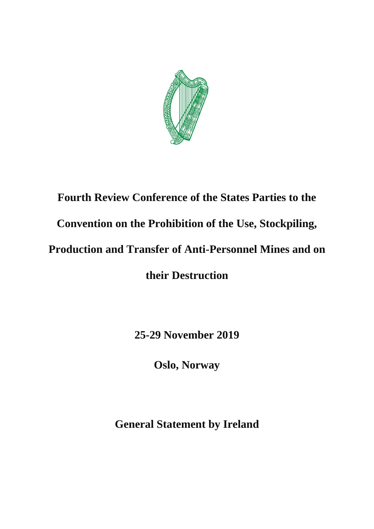

# **Fourth Review Conference of the States Parties to the Convention on the Prohibition of the Use, Stockpiling, Production and Transfer of Anti-Personnel Mines and on their Destruction**

**25-29 November 2019** 

**Oslo, Norway** 

**General Statement by Ireland**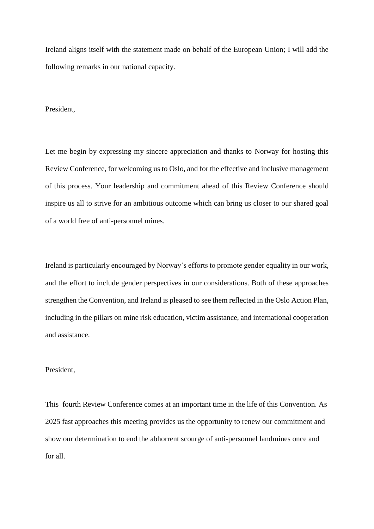Ireland aligns itself with the statement made on behalf of the European Union; I will add the following remarks in our national capacity.

#### President,

Let me begin by expressing my sincere appreciation and thanks to Norway for hosting this Review Conference, for welcoming us to Oslo, and for the effective and inclusive management of this process. Your leadership and commitment ahead of this Review Conference should inspire us all to strive for an ambitious outcome which can bring us closer to our shared goal of a world free of anti-personnel mines.

Ireland is particularly encouraged by Norway's efforts to promote gender equality in our work, and the effort to include gender perspectives in our considerations. Both of these approaches strengthen the Convention, and Ireland is pleased to see them reflected in the Oslo Action Plan, including in the pillars on mine risk education, victim assistance, and international cooperation and assistance.

## President,

This fourth Review Conference comes at an important time in the life of this Convention. As 2025 fast approaches this meeting provides us the opportunity to renew our commitment and show our determination to end the abhorrent scourge of anti-personnel landmines once and for all.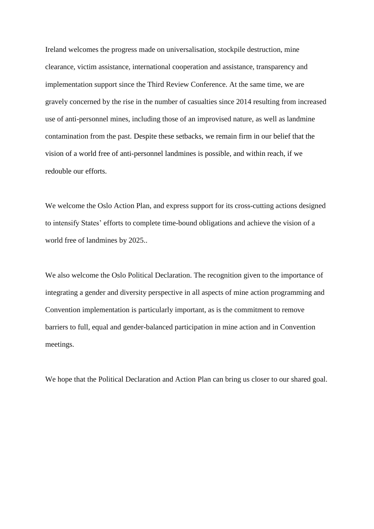Ireland welcomes the progress made on universalisation, stockpile destruction, mine clearance, victim assistance, international cooperation and assistance, transparency and implementation support since the Third Review Conference. At the same time, we are gravely concerned by the rise in the number of casualties since 2014 resulting from increased use of anti-personnel mines, including those of an improvised nature, as well as landmine contamination from the past. Despite these setbacks, we remain firm in our belief that the vision of a world free of anti-personnel landmines is possible, and within reach, if we redouble our efforts.

We welcome the Oslo Action Plan, and express support for its cross-cutting actions designed to intensify States' efforts to complete time-bound obligations and achieve the vision of a world free of landmines by 2025..

We also welcome the Oslo Political Declaration. The recognition given to the importance of integrating a gender and diversity perspective in all aspects of mine action programming and Convention implementation is particularly important, as is the commitment to remove barriers to full, equal and gender-balanced participation in mine action and in Convention meetings.

We hope that the Political Declaration and Action Plan can bring us closer to our shared goal.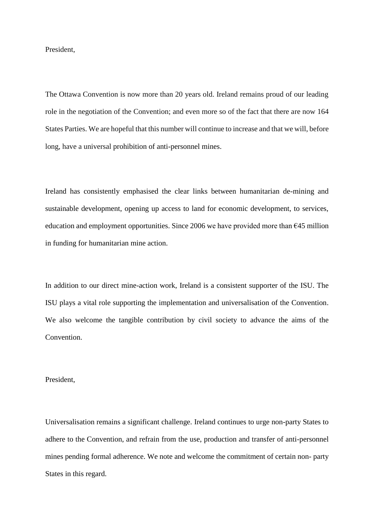President,

The Ottawa Convention is now more than 20 years old. Ireland remains proud of our leading role in the negotiation of the Convention; and even more so of the fact that there are now 164 States Parties. We are hopeful that this number will continue to increase and that we will, before long, have a universal prohibition of anti-personnel mines.

Ireland has consistently emphasised the clear links between humanitarian de-mining and sustainable development, opening up access to land for economic development, to services, education and employment opportunities. Since 2006 we have provided more than  $645$  million in funding for humanitarian mine action.

In addition to our direct mine-action work, Ireland is a consistent supporter of the ISU. The ISU plays a vital role supporting the implementation and universalisation of the Convention. We also welcome the tangible contribution by civil society to advance the aims of the **Convention** 

#### President,

Universalisation remains a significant challenge. Ireland continues to urge non-party States to adhere to the Convention, and refrain from the use, production and transfer of anti-personnel mines pending formal adherence. We note and welcome the commitment of certain non- party States in this regard.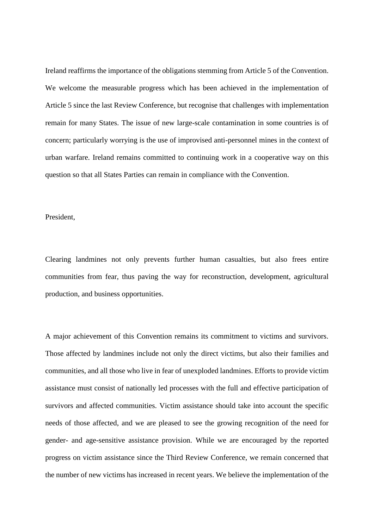Ireland reaffirms the importance of the obligations stemming from Article 5 of the Convention. We welcome the measurable progress which has been achieved in the implementation of Article 5 since the last Review Conference, but recognise that challenges with implementation remain for many States. The issue of new large-scale contamination in some countries is of concern; particularly worrying is the use of improvised anti-personnel mines in the context of urban warfare. Ireland remains committed to continuing work in a cooperative way on this question so that all States Parties can remain in compliance with the Convention.

## President,

Clearing landmines not only prevents further human casualties, but also frees entire communities from fear, thus paving the way for reconstruction, development, agricultural production, and business opportunities.

A major achievement of this Convention remains its commitment to victims and survivors. Those affected by landmines include not only the direct victims, but also their families and communities, and all those who live in fear of unexploded landmines. Efforts to provide victim assistance must consist of nationally led processes with the full and effective participation of survivors and affected communities. Victim assistance should take into account the specific needs of those affected, and we are pleased to see the growing recognition of the need for gender- and age-sensitive assistance provision. While we are encouraged by the reported progress on victim assistance since the Third Review Conference, we remain concerned that the number of new victims has increased in recent years. We believe the implementation of the